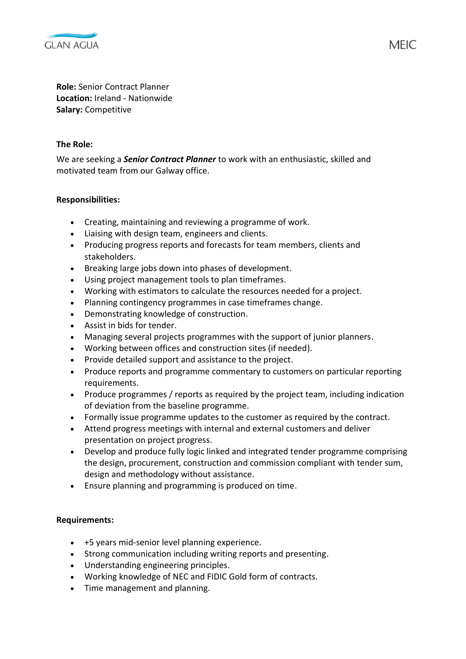

**Role:** Senior Contract Planner **Location:** Ireland - Nationwide **Salary:** Competitive

## **The Role:**

We are seeking a *Senior Contract Planner* to work with an enthusiastic, skilled and motivated team from our Galway office.

## **Responsibilities:**

- Creating, maintaining and reviewing a programme of work.
- Liaising with design team, engineers and clients.
- Producing progress reports and forecasts for team members, clients and stakeholders.
- Breaking large jobs down into phases of development.
- Using project management tools to plan timeframes.
- Working with estimators to calculate the resources needed for a project.
- Planning contingency programmes in case timeframes change.
- Demonstrating knowledge of construction.
- Assist in bids for tender.
- Managing several projects programmes with the support of junior planners.
- Working between offices and construction sites (if needed).
- Provide detailed support and assistance to the project.
- Produce reports and programme commentary to customers on particular reporting requirements.
- Produce programmes / reports as required by the project team, including indication of deviation from the baseline programme.
- Formally issue programme updates to the customer as required by the contract.
- Attend progress meetings with internal and external customers and deliver presentation on project progress.
- Develop and produce fully logic linked and integrated tender programme comprising the design, procurement, construction and commission compliant with tender sum, design and methodology without assistance.
- Ensure planning and programming is produced on time.

## **Requirements:**

- +5 years mid-senior level planning experience.
- Strong communication including writing reports and presenting.
- Understanding engineering principles.
- Working knowledge of NEC and FIDIC Gold form of contracts.
- Time management and planning.